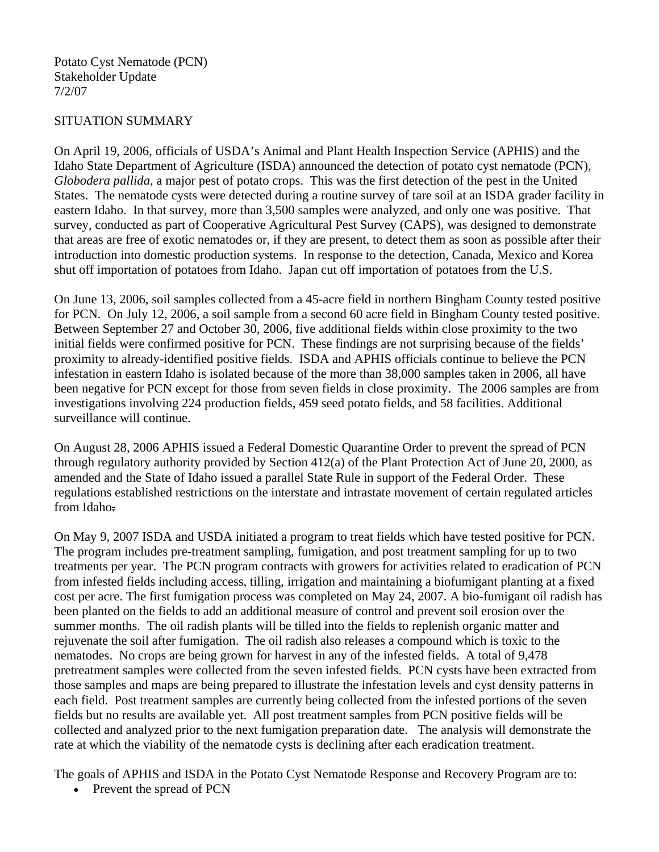## SITUATION SUMMARY

On April 19, 2006, officials of USDA's Animal and Plant Health Inspection Service (APHIS) and the Idaho State Department of Agriculture (ISDA) announced the detection of potato cyst nematode (PCN), *Globodera pallida*, a major pest of potato crops. This was the first detection of the pest in the United States. The nematode cysts were detected during a routine survey of tare soil at an ISDA grader facility in eastern Idaho. In that survey, more than 3,500 samples were analyzed, and only one was positive. That survey, conducted as part of Cooperative Agricultural Pest Survey (CAPS), was designed to demonstrate that areas are free of exotic nematodes or, if they are present, to detect them as soon as possible after their introduction into domestic production systems. In response to the detection, Canada, Mexico and Korea shut off importation of potatoes from Idaho. Japan cut off importation of potatoes from the U.S.

On June 13, 2006, soil samples collected from a 45-acre field in northern Bingham County tested positive for PCN. On July 12, 2006, a soil sample from a second 60 acre field in Bingham County tested positive. Between September 27 and October 30, 2006, five additional fields within close proximity to the two initial fields were confirmed positive for PCN. These findings are not surprising because of the fields' proximity to already-identified positive fields. ISDA and APHIS officials continue to believe the PCN infestation in eastern Idaho is isolated because of the more than 38,000 samples taken in 2006, all have been negative for PCN except for those from seven fields in close proximity. The 2006 samples are from investigations involving 224 production fields, 459 seed potato fields, and 58 facilities. Additional surveillance will continue.

On August 28, 2006 APHIS issued a Federal Domestic Quarantine Order to prevent the spread of PCN through regulatory authority provided by Section 412(a) of the Plant Protection Act of June 20, 2000, as amended and the State of Idaho issued a parallel State Rule in support of the Federal Order. These regulations established restrictions on the interstate and intrastate movement of certain regulated articles from Idaho.

On May 9, 2007 ISDA and USDA initiated a program to treat fields which have tested positive for PCN. The program includes pre-treatment sampling, fumigation, and post treatment sampling for up to two treatments per year. The PCN program contracts with growers for activities related to eradication of PCN from infested fields including access, tilling, irrigation and maintaining a biofumigant planting at a fixed cost per acre. The first fumigation process was completed on May 24, 2007. A bio-fumigant oil radish has been planted on the fields to add an additional measure of control and prevent soil erosion over the summer months. The oil radish plants will be tilled into the fields to replenish organic matter and rejuvenate the soil after fumigation. The oil radish also releases a compound which is toxic to the nematodes. No crops are being grown for harvest in any of the infested fields. A total of 9,478 pretreatment samples were collected from the seven infested fields. PCN cysts have been extracted from those samples and maps are being prepared to illustrate the infestation levels and cyst density patterns in each field. Post treatment samples are currently being collected from the infested portions of the seven fields but no results are available yet. All post treatment samples from PCN positive fields will be collected and analyzed prior to the next fumigation preparation date. The analysis will demonstrate the rate at which the viability of the nematode cysts is declining after each eradication treatment.

The goals of APHIS and ISDA in the Potato Cyst Nematode Response and Recovery Program are to:

• Prevent the spread of PCN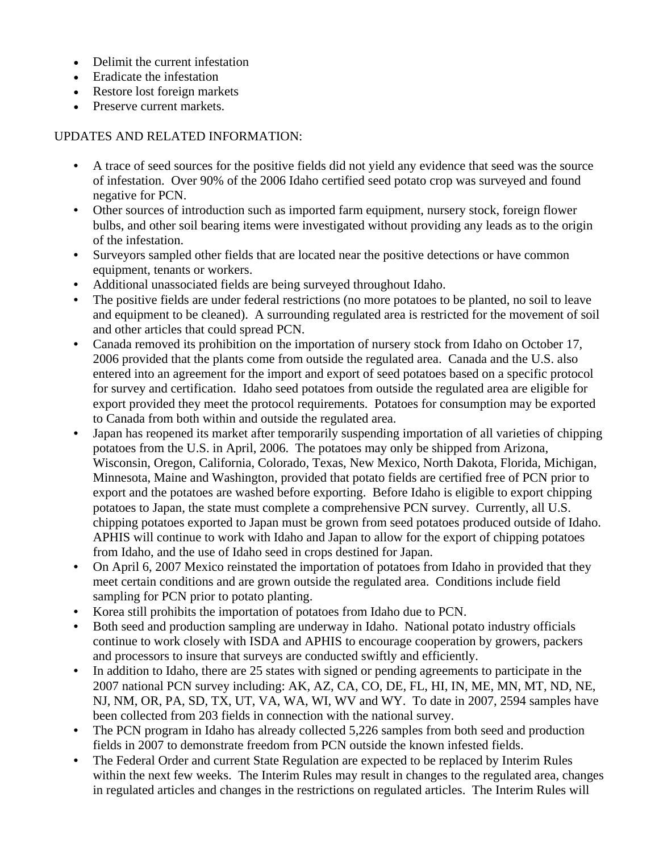- Delimit the current infestation
- Eradicate the infestation
- Restore lost foreign markets
- Preserve current markets.

## UPDATES AND RELATED INFORMATION:

- A trace of seed sources for the positive fields did not yield any evidence that seed was the source of infestation. Over 90% of the 2006 Idaho certified seed potato crop was surveyed and found negative for PCN.
- Other sources of introduction such as imported farm equipment, nursery stock, foreign flower bulbs, and other soil bearing items were investigated without providing any leads as to the origin of the infestation.
- Surveyors sampled other fields that are located near the positive detections or have common equipment, tenants or workers.
- Additional unassociated fields are being surveyed throughout Idaho.
- The positive fields are under federal restrictions (no more potatoes to be planted, no soil to leave and equipment to be cleaned). A surrounding regulated area is restricted for the movement of soil and other articles that could spread PCN.
- Canada removed its prohibition on the importation of nursery stock from Idaho on October 17, 2006 provided that the plants come from outside the regulated area. Canada and the U.S. also entered into an agreement for the import and export of seed potatoes based on a specific protocol for survey and certification. Idaho seed potatoes from outside the regulated area are eligible for export provided they meet the protocol requirements. Potatoes for consumption may be exported to Canada from both within and outside the regulated area.
- Japan has reopened its market after temporarily suspending importation of all varieties of chipping potatoes from the U.S. in April, 2006. The potatoes may only be shipped from Arizona, Wisconsin, Oregon, California, Colorado, Texas, New Mexico, North Dakota, Florida, Michigan, Minnesota, Maine and Washington, provided that potato fields are certified free of PCN prior to export and the potatoes are washed before exporting. Before Idaho is eligible to export chipping potatoes to Japan, the state must complete a comprehensive PCN survey. Currently, all U.S. chipping potatoes exported to Japan must be grown from seed potatoes produced outside of Idaho. APHIS will continue to work with Idaho and Japan to allow for the export of chipping potatoes from Idaho, and the use of Idaho seed in crops destined for Japan.
- On April 6, 2007 Mexico reinstated the importation of potatoes from Idaho in provided that they meet certain conditions and are grown outside the regulated area. Conditions include field sampling for PCN prior to potato planting.
- Korea still prohibits the importation of potatoes from Idaho due to PCN.
- Both seed and production sampling are underway in Idaho. National potato industry officials continue to work closely with ISDA and APHIS to encourage cooperation by growers, packers and processors to insure that surveys are conducted swiftly and efficiently.
- In addition to Idaho, there are 25 states with signed or pending agreements to participate in the 2007 national PCN survey including: AK, AZ, CA, CO, DE, FL, HI, IN, ME, MN, MT, ND, NE, NJ, NM, OR, PA, SD, TX, UT, VA, WA, WI, WV and WY. To date in 2007, 2594 samples have been collected from 203 fields in connection with the national survey.
- The PCN program in Idaho has already collected 5,226 samples from both seed and production fields in 2007 to demonstrate freedom from PCN outside the known infested fields.
- The Federal Order and current State Regulation are expected to be replaced by Interim Rules within the next few weeks. The Interim Rules may result in changes to the regulated area, changes in regulated articles and changes in the restrictions on regulated articles. The Interim Rules will